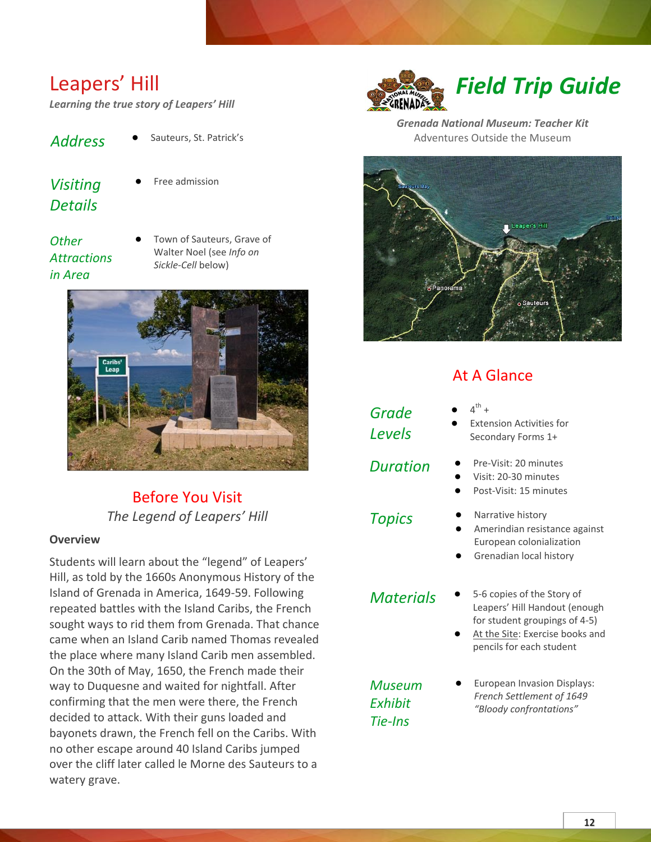# Leapers' Hill

*Learning the true story of Leapers' Hill*

- *Address* **●** Sauteurs, St. Patrick's
- *Visiting Details*
- **●** Free admission

## *Other Attractions in Area*

Town of Sauteurs, Grave of Walter Noel (see *Info on Sickle-Cell* below)



## Before You Visit *The Legend of Leapers' Hill*

## **Overview**

Students will learn about the "legend" of Leapers' Hill, as told by the 1660s Anonymous History of the Island of Grenada in America, 1649-59. Following repeated battles with the Island Caribs, the French sought ways to rid them from Grenada. That chance came when an Island Carib named Thomas revealed the place where many Island Carib men assembled. On the 30th of May, 1650, the French made their way to Duquesne and waited for nightfall. After confirming that the men were there, the French decided to attack. With their guns loaded and bayonets drawn, the French fell on the Caribs. With no other escape around 40 Island Caribs jumped over the cliff later called le Morne des Sauteurs to a watery grave.



*Grenada National Museum: Teacher Kit* Adventures Outside the Museum



## At A Glance

*Grade Levels*

- **●** 4  $\mathsf{^{th}}$  +
- **Extension Activities for** Secondary Forms 1+
- *Duration* **●** Pre-Visit: 20 minutes
	- **●** Visit: 20-30 minutes
	- **●** Post-Visit: 15 minutes
- *Topics* **●** Narrative history
	- **●** Amerindian resistance against European colonialization
	- **●** Grenadian local history

- *Materials* **●** 5-6 copies of the Story of Leapers' Hill Handout (enough for student groupings of 4-5)
	- At the Site: Exercise books and pencils for each student

*Museum Exhibit Tie-Ins*

**European Invasion Displays:** *French Settlement of 1649 "Bloody confrontations"*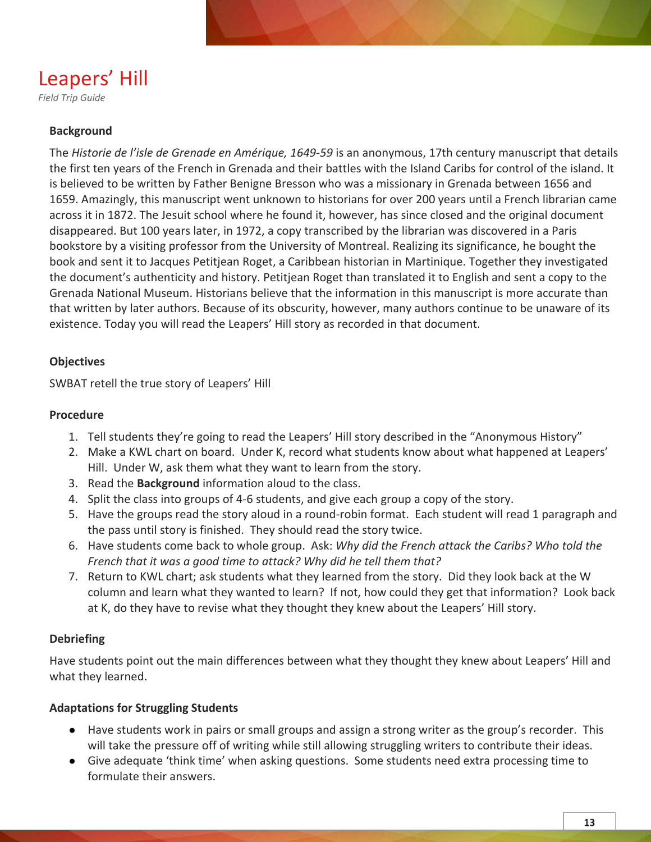# Leapers' Hill

*Field Trip Guide*

## **Background**

The *Historie de l'isle de Grenade en Amérique, 1649-59* is an anonymous, 17th century manuscript that details the first ten years of the French in Grenada and their battles with the Island Caribs for control of the island. It is believed to be written by Father Benigne Bresson who was a missionary in Grenada between 1656 and 1659. Amazingly, this manuscript went unknown to historians for over 200 years until a French librarian came across it in 1872. The Jesuit school where he found it, however, has since closed and the original document disappeared. But 100 years later, in 1972, a copy transcribed by the librarian was discovered in a Paris bookstore by a visiting professor from the University of Montreal. Realizing its significance, he bought the book and sent it to Jacques Petitjean Roget, a Caribbean historian in Martinique. Together they investigated the document's authenticity and history. Petitjean Roget than translated it to English and sent a copy to the Grenada National Museum. Historians believe that the information in this manuscript is more accurate than that written by later authors. Because of its obscurity, however, many authors continue to be unaware of its existence. Today you will read the Leapers' Hill story as recorded in that document.

## **Objectives**

SWBAT retell the true story of Leapers' Hill

## **Procedure**

- 1. Tell students they're going to read the Leapers' Hill story described in the "Anonymous History"
- 2. Make a KWL chart on board. Under K, record what students know about what happened at Leapers' Hill. Under W, ask them what they want to learn from the story.
- 3. Read the **Background** information aloud to the class.
- 4. Split the class into groups of 4-6 students, and give each group a copy of the story.
- 5. Have the groups read the story aloud in a round-robin format. Each student will read 1 paragraph and the pass until story is finished. They should read the story twice.
- 6. Have students come back to whole group. Ask: *Why did the French attack the Caribs? Who told the French that it was a good time to attack? Why did he tell them that?*
- 7. Return to KWL chart; ask students what they learned from the story. Did they look back at the W column and learn what they wanted to learn? If not, how could they get that information? Look back at K, do they have to revise what they thought they knew about the Leapers' Hill story.

## **Debriefing**

Have students point out the main differences between what they thought they knew about Leapers' Hill and what they learned.

## **Adaptations for Struggling Students**

- Have students work in pairs or small groups and assign a strong writer as the group's recorder. This will take the pressure off of writing while still allowing struggling writers to contribute their ideas.
- Give adequate 'think time' when asking questions. Some students need extra processing time to formulate their answers.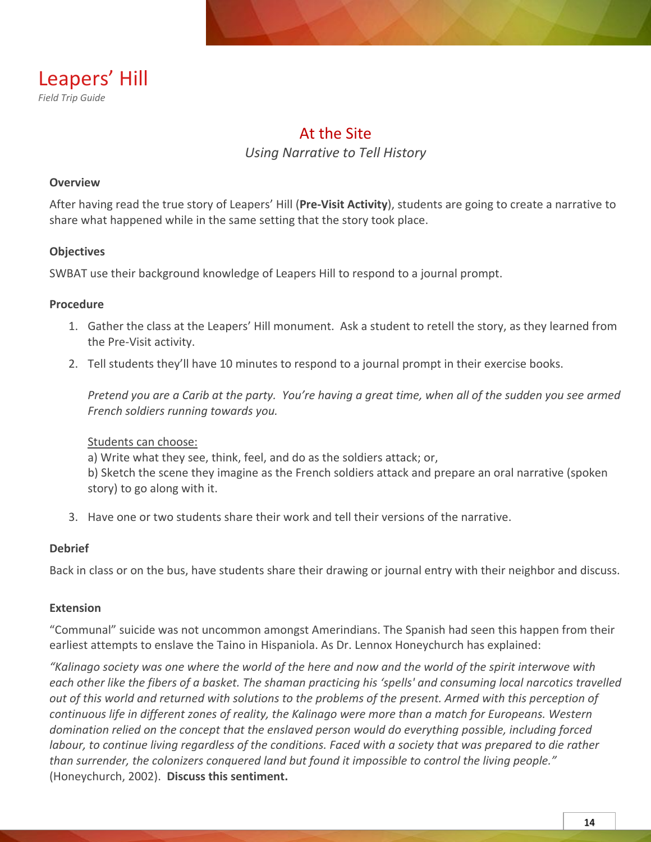

## At the Site *Using Narrative to Tell History*

## **Overview**

After having read the true story of Leapers' Hill (**Pre-Visit Activity**), students are going to create a narrative to share what happened while in the same setting that the story took place.

## **Objectives**

SWBAT use their background knowledge of Leapers Hill to respond to a journal prompt.

## **Procedure**

- 1. Gather the class at the Leapers' Hill monument. Ask a student to retell the story, as they learned from the Pre-Visit activity.
- 2. Tell students they'll have 10 minutes to respond to a journal prompt in their exercise books.

*Pretend you are a Carib at the party. You're having a great time, when all of the sudden you see armed French soldiers running towards you.*

### Students can choose:

a) Write what they see, think, feel, and do as the soldiers attack; or, b) Sketch the scene they imagine as the French soldiers attack and prepare an oral narrative (spoken story) to go along with it.

3. Have one or two students share their work and tell their versions of the narrative.

### **Debrief**

Back in class or on the bus, have students share their drawing or journal entry with their neighbor and discuss.

### **Extension**

"Communal" suicide was not uncommon amongst Amerindians. The Spanish had seen this happen from their earliest attempts to enslave the Taino in Hispaniola. As Dr. Lennox Honeychurch has explained:

*"Kalinago society was one where the world of the here and now and the world of the spirit interwove with each other like the fibers of a basket. The shaman practicing his 'spells' and consuming local narcotics travelled out of this world and returned with solutions to the problems of the present. Armed with this perception of continuous life in different zones of reality, the Kalinago were more than a match for Europeans. Western domination relied on the concept that the enslaved person would do everything possible, including forced labour, to continue living regardless of the conditions. Faced with a society that was prepared to die rather than surrender, the colonizers conquered land but found it impossible to control the living people."* (Honeychurch, 2002). **Discuss this sentiment.**